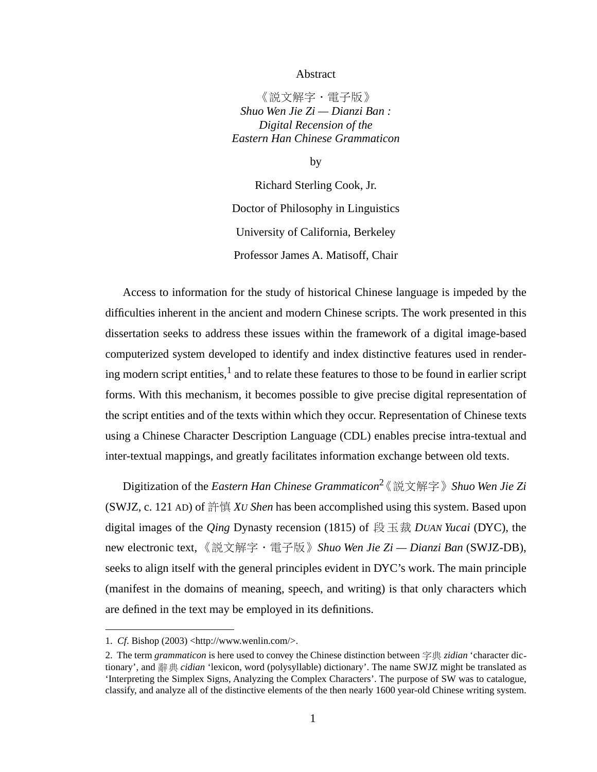## Abstract

《説文解字·電子版》 *Shuo Wen Jie Zi — Dianzi Ban : Digital Recension of the Eastern Han Chinese Grammaticon*

by

Richard Sterling Cook, Jr. Doctor of Philosophy in Linguistics University of California, Berkeley Professor James A. Matisoff, Chair

Access to information for the study of historical Chinese language is impeded by the difficulties inherent in the ancient and modern Chinese scripts. The work presented in this dissertation seeks to address these issues within the framework of a digital image-based computerized system developed to identify and index distinctive features used in rendering modern script entities,  $1$  and to relate these features to those to be found in earlier script forms. With this mechanism, it becomes possible to give precise digital representation of the script entities and of the texts within which they occur. Representation of Chinese texts using a Chinese Character Description Language (CDL) enables precise intra-textual and inter-textual mappings, and greatly facilitates information exchange between old texts.

Digitization of the *Eastern Han Chinese Grammaticon*<sup>2</sup>《説文解字》Shuo Wen Jie Zi (SWJZ, c. 121 AD) of 許慎 *XU Shen* has been accomplished using this system. Based upon digital images of the *Qing* Dynasty recension (1815) of 段玉裁 *DUAN Yucai* (DYC), the new electronic text, 《説文解字 · 電子版》 Shuo Wen Jie Zi — Dianzi Ban (SWJZ-DB), seeks to align itself with the general principles evident in DYC's work. The main principle (manifest in the domains of meaning, speech, and writing) is that only characters which are defined in the text may be employed in its definitions.

<sup>1.</sup> *Cf*. Bishop (2003) <http://www.wenlin.com/>.

<sup>2.</sup> The term *grammaticon* is here used to convey the Chinese distinction between 字典 *zidian* 'character dictionary', and 辭典 *cidian* 'lexicon, word (polysyllable) dictionary'. The name SWJZ might be translated as 'Interpreting the Simplex Signs, Analyzing the Complex Characters'. The purpose of SW was to catalogue, classify, and analyze all of the distinctive elements of the then nearly 1600 year-old Chinese writing system.